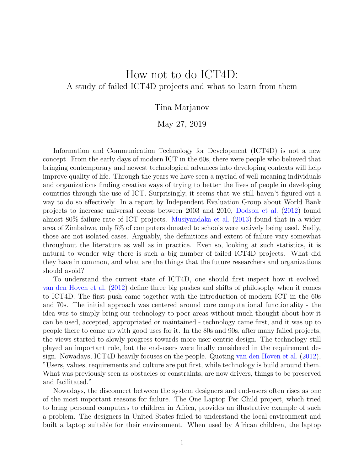## How not to do ICT4D: A study of failed ICT4D projects and what to learn from them

## Tina Marjanov

## May 27, 2019

Information and Communication Technology for Development (ICT4D) is not a new concept. From the early days of modern ICT in the 60s, there were people who believed that bringing contemporary and newest technological advances into developing contexts will help improve quality of life. Through the years we have seen a myriad of well-meaning individuals and organizations finding creative ways of trying to better the lives of people in developing countries through the use of ICT. Surprisingly, it seems that we still haven't figured out a way to do so effectively. In a report by Independent Evaluation Group about World Bank projects to increase universal access between 2003 and 2010, [Dodson et al.](#page-2-0) [\(2012\)](#page-2-0) found almost 80% failure rate of ICT projects. [Musiyandaka et al.](#page-2-1) [\(2013\)](#page-2-1) found that in a wider area of Zimbabwe, only 5% of computers donated to schools were actively being used. Sadly, those are not isolated cases. Arguably, the definitions and extent of failure vary somewhat throughout the literature as well as in practice. Even so, looking at such statistics, it is natural to wonder why there is such a big number of failed ICT4D projects. What did they have in common, and what are the things that the future researchers and organizations should avoid?

To understand the current state of ICT4D, one should first inspect how it evolved. [van den Hoven et al.](#page-3-0) [\(2012\)](#page-3-0) define three big pushes and shifts of philosophy when it comes to ICT4D. The first push came together with the introduction of modern ICT in the 60s and 70s. The initial approach was centered around core computational functionality - the idea was to simply bring our technology to poor areas without much thought about how it can be used, accepted, appropriated or maintained - technology came first, and it was up to people there to come up with good uses for it. In the 80s and 90s, after many failed projects, the views started to slowly progress towards more user-centric design. The technology still played an important role, but the end-users were finally considered in the requirement design. Nowadays, ICT4D heavily focuses on the people. Quoting [van den Hoven et al.](#page-3-0) [\(2012\)](#page-3-0), "Users, values, requirements and culture are put first, while technology is build around them. What was previously seen as obstacles or constraints, are now drivers, things to be preserved and facilitated."

Nowadays, the disconnect between the system designers and end-users often rises as one of the most important reasons for failure. The One Laptop Per Child project, which tried to bring personal computers to children in Africa, provides an illustrative example of such a problem. The designers in United States failed to understand the local environment and built a laptop suitable for their environment. When used by African children, the laptop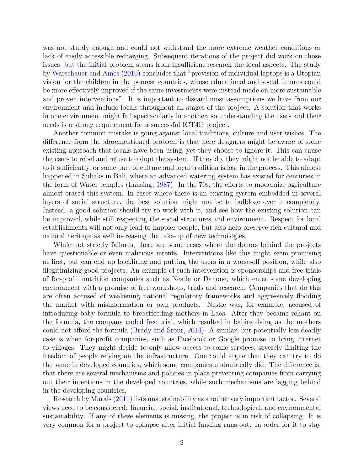was not sturdy enough and could not withstand the more extreme weather conditions or lack of easily accessible recharging. Subsequent iterations of the project did work on those issues, but the initial problem stems from insufficient research the local aspects. The study by [Warschauer and Ames](#page-3-1) [\(2010\)](#page-3-1) concludes that "provision of individual laptops is a Utopian vision for the children in the poorest countries, whose educational and social futures could be more effectively improved if the same investments were instead made on more sustainable and proven interventions". It is important to discard most assumptions we have from our environment and include locals throughout all stages of the project. A solution that works in one environment might fail spectacularly in another, so understanding the users and their needs is a strong requirement for a successful ICT4D project.

Another common mistake is going against local traditions, culture and user wishes. The difference from the aforementioned problem is that here designers might be aware of some existing approach that locals have been using, yet they choose to ignore it. This can cause the users to rebel and refuse to adopt the system. If they do, they might not be able to adapt to it sufficiently, or some part of culture and local tradition is lost in the process. This almost happened in Subaks in Bali, where an advanced watering system has existed for centuries in the form of Water temples [\(Lansing,](#page-2-2) [1987\)](#page-2-2). In the 70s, the efforts to modernize agriculture almost erased this system. In cases where there is an existing system embedded in several layers of social structure, the best solution might not be to bulldoze over it completely. Instead, a good solution should try to work with it, and see how the existing solution can be improved, while still respecting the social structures and environment. Respect for local establishments will not only lead to happier people, but also help preserve rich cultural and natural heritage as well increasing the take-up of new technologies.

While not strictly failures, there are some cases where the donors behind the projects have questionable or even malicious intents. Interventions like this might seem promising at first, but can end up backfiring and putting the users in a worse-off position, while also illegitimizing good projects. An example of such intervention is sponsorships and free trials of for-profit nutrition companies such as Nestle or Danone, which enter some developing environment with a promise of free workshops, trials and research. Companies that do this are often accused of weakening national regulatory frameworks and aggressively flooding the market with misinformation or own products. Nestle was, for example, accused of introducing baby formula to breastfeeding mothers in Laos. After they became reliant on the formula, the company ended free trial, which resulted in babies dying as the mothers could not afford the formula [\(Brady and Srour,](#page-2-3) [2014\)](#page-2-3). A similar, but potentially less deadly case is when for-profit companies, such as Facebook or Google promise to bring internet to villages. They might decide to only allow access to some services, severely limiting the freedom of people relying on the infrastructure. One could argue that they can try to do the same in developed countries, which some companies undoubtedly did. The difference is, that there are several mechanisms and policies in place preventing companies from carrying out their intentions in the developed countries, while such mechanisms are lagging behind in the developing countries.

Research by [Marais](#page-2-4) [\(2011\)](#page-2-4) lists unsustainability as another very important factor. Several views need to be considered: financial, social, institutional, technological, and environmental sustainability. If any of these elements is missing, the project is in risk of collapsing. It is very common for a project to collapse after initial funding runs out. In order for it to stay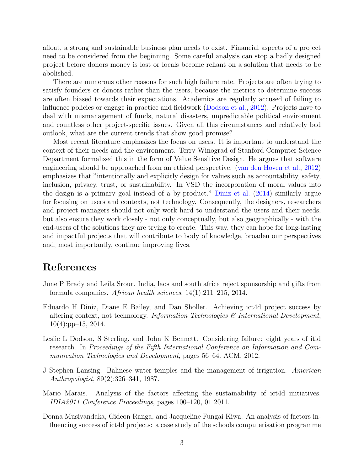afloat, a strong and sustainable business plan needs to exist. Financial aspects of a project need to be considered from the beginning. Some careful analysis can stop a badly designed project before donors money is lost or locals become reliant on a solution that needs to be abolished.

There are numerous other reasons for such high failure rate. Projects are often trying to satisfy founders or donors rather than the users, because the metrics to determine success are often biased towards their expectations. Academics are regularly accused of failing to influence policies or engage in practice and fieldwork [\(Dodson et al.,](#page-2-0) [2012\)](#page-2-0). Projects have to deal with mismanagement of funds, natural disasters, unpredictable political environment and countless other project-specific issues. Given all this circumstances and relatively bad outlook, what are the current trends that show good promise?

Most recent literature emphasizes the focus on users. It is important to understand the context of their needs and the environment. Terry Winograd of Stanford Computer Science Department formalized this in the form of Value Sensitive Design. He argues that software engineering should be approached from an ethical perspective. [\(van den Hoven et al.,](#page-3-0) [2012\)](#page-3-0) emphasizes that "intentionally and explicitly design for values such as accountability, safety, inclusion, privacy, trust, or sustainability. In VSD the incorporation of moral values into the design is a primary goal instead of a by-product." [Diniz et al.](#page-2-5) [\(2014\)](#page-2-5) similarly argue for focusing on users and contexts, not technology. Consequently, the designers, researchers and project managers should not only work hard to understand the users and their needs, but also ensure they work closely - not only conceptually, but also geographically - with the end-users of the solutions they are trying to create. This way, they can hope for long-lasting and impactful projects that will contribute to body of knowledge, broaden our perspectives and, most importantly, continue improving lives.

## References

- <span id="page-2-3"></span>June P Brady and Leila Srour. India, laos and south africa reject sponsorship and gifts from formula companies. African health sciences, 14(1):211–215, 2014.
- <span id="page-2-5"></span>Eduardo H Diniz, Diane E Bailey, and Dan Sholler. Achieving ict4d project success by altering context, not technology. Information Technologies  $\mathcal{C}$  International Development,  $10(4):pp-15, 2014.$
- <span id="page-2-0"></span>Leslie L Dodson, S Sterling, and John K Bennett. Considering failure: eight years of itid research. In Proceedings of the Fifth International Conference on Information and Communication Technologies and Development, pages 56–64. ACM, 2012.
- <span id="page-2-2"></span>J Stephen Lansing. Balinese water temples and the management of irrigation. American Anthropologist, 89(2):326–341, 1987.
- <span id="page-2-4"></span>Mario Marais. Analysis of the factors affecting the sustainability of ict4d initiatives. IDIA2011 Conference Proceedings, pages 100–120, 01 2011.
- <span id="page-2-1"></span>Donna Musiyandaka, Gideon Ranga, and Jacqueline Fungai Kiwa. An analysis of factors influencing success of ict4d projects: a case study of the schools computerisation programme